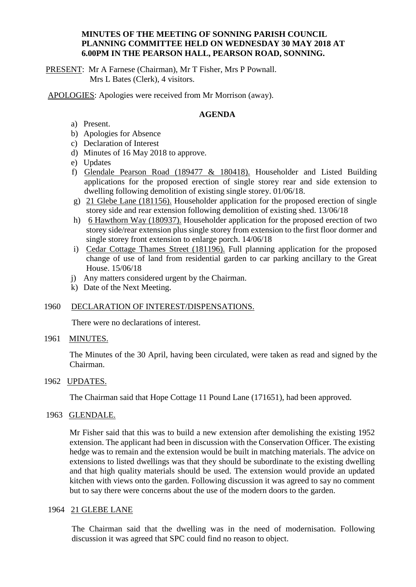### **MINUTES OF THE MEETING OF SONNING PARISH COUNCIL PLANNING COMMITTEE HELD ON WEDNESDAY 30 MAY 2018 AT 6.00PM IN THE PEARSON HALL, PEARSON ROAD, SONNING.**

PRESENT: Mr A Farnese (Chairman), Mr T Fisher, Mrs P Pownall. Mrs L Bates (Clerk), 4 visitors.

APOLOGIES: Apologies were received from Mr Morrison (away).

### **AGENDA**

- a) Present.
- b) Apologies for Absence
- c) Declaration of Interest
- d) Minutes of 16 May 2018 to approve.
- e) Updates
- f) Glendale Pearson Road (189477 & 180418). Householder and Listed Building applications for the proposed erection of single storey rear and side extension to dwelling following demolition of existing single storey. 01/06/18.
- g) 21 Glebe Lane (181156). Householder application for the proposed erection of single storey side and rear extension following demolition of existing shed. 13/06/18
- h) 6 Hawthorn Way (180937). Householder application for the proposed erection of two storey side/rear extension plus single storey from extension to the first floor dormer and single storey front extension to enlarge porch. 14/06/18
- i) Cedar Cottage Thames Street (181196). Full planning application for the proposed change of use of land from residential garden to car parking ancillary to the Great House. 15/06/18
- j) Any matters considered urgent by the Chairman.
- k) Date of the Next Meeting.

## 1960 DECLARATION OF INTEREST/DISPENSATIONS.

There were no declarations of interest.

#### 1961 MINUTES.

The Minutes of the 30 April, having been circulated, were taken as read and signed by the Chairman.

## 1962 UPDATES.

The Chairman said that Hope Cottage 11 Pound Lane (171651), had been approved.

### 1963 GLENDALE.

Mr Fisher said that this was to build a new extension after demolishing the existing 1952 extension. The applicant had been in discussion with the Conservation Officer. The existing hedge was to remain and the extension would be built in matching materials. The advice on extensions to listed dwellings was that they should be subordinate to the existing dwelling and that high quality materials should be used. The extension would provide an updated kitchen with views onto the garden. Following discussion it was agreed to say no comment but to say there were concerns about the use of the modern doors to the garden.

### 1964 21 GLEBE LANE

The Chairman said that the dwelling was in the need of modernisation. Following discussion it was agreed that SPC could find no reason to object.